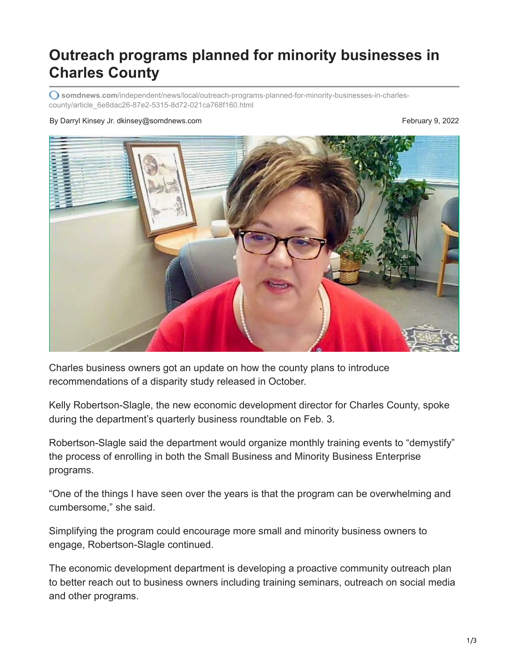## **Outreach programs planned for minority businesses in Charles County**

**somdnews.com**[/independent/news/local/outreach-programs-planned-for-minority-businesses-in-charles](https://www.somdnews.com/independent/news/local/outreach-programs-planned-for-minority-businesses-in-charles-county/article_6e8dac26-87e2-5315-8d72-021ca768f160.html)county/article\_6e8dac26-87e2-5315-8d72-021ca768f160.html

## By Darryl Kinsey Jr. dkinsey@somdnews.com **February 9, 2022**



Charles business owners got an update on how the county plans to introduce recommendations of a disparity study released in October.

Kelly Robertson-Slagle, the new economic development director for Charles County, spoke during the department's quarterly business roundtable on Feb. 3.

Robertson-Slagle said the department would organize monthly training events to "demystify" the process of enrolling in both the Small Business and Minority Business Enterprise programs.

"One of the things I have seen over the years is that the program can be overwhelming and cumbersome," she said.

Simplifying the program could encourage more small and minority business owners to engage, Robertson-Slagle continued.

The economic development department is developing a proactive community outreach plan to better reach out to business owners including training seminars, outreach on social media and other programs.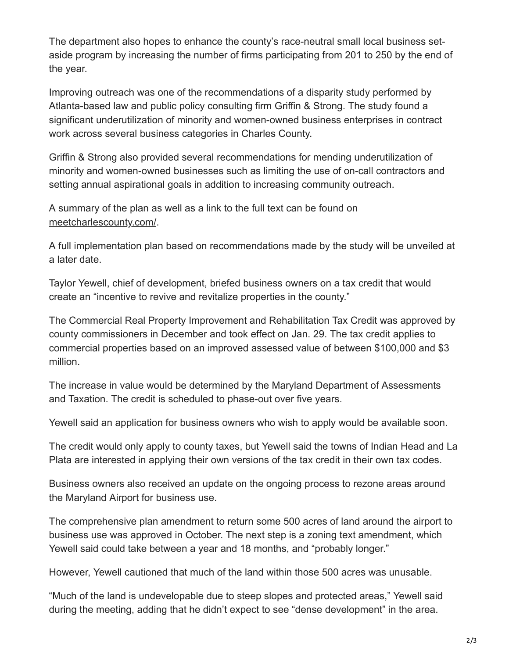The department also hopes to enhance the county's race-neutral small local business setaside program by increasing the number of firms participating from 201 to 250 by the end of the year.

Improving outreach was one of the recommendations of a disparity study performed by Atlanta-based law and public policy consulting firm Griffin & Strong. The study found a significant underutilization of minority and women-owned business enterprises in contract work across several business categories in Charles County.

Griffin & Strong also provided several recommendations for mending underutilization of minority and women-owned businesses such as limiting the use of on-call contractors and setting annual aspirational goals in addition to increasing community outreach.

A summary of the plan as well as a link to the full text can be found on [meetcharlescounty.com/](http://meetcharlescounty.com/).

A full implementation plan based on recommendations made by the study will be unveiled at a later date.

Taylor Yewell, chief of development, briefed business owners on a tax credit that would create an "incentive to revive and revitalize properties in the county."

The Commercial Real Property Improvement and Rehabilitation Tax Credit was approved by county commissioners in December and took effect on Jan. 29. The tax credit applies to commercial properties based on an improved assessed value of between \$100,000 and \$3 million.

The increase in value would be determined by the Maryland Department of Assessments and Taxation. The credit is scheduled to phase-out over five years.

Yewell said an application for business owners who wish to apply would be available soon.

The credit would only apply to county taxes, but Yewell said the towns of Indian Head and La Plata are interested in applying their own versions of the tax credit in their own tax codes.

Business owners also received an update on the ongoing process to rezone areas around the Maryland Airport for business use.

The comprehensive plan amendment to return some 500 acres of land around the airport to business use was approved in October. The next step is a zoning text amendment, which Yewell said could take between a year and 18 months, and "probably longer."

However, Yewell cautioned that much of the land within those 500 acres was unusable.

"Much of the land is undevelopable due to steep slopes and protected areas," Yewell said during the meeting, adding that he didn't expect to see "dense development" in the area.